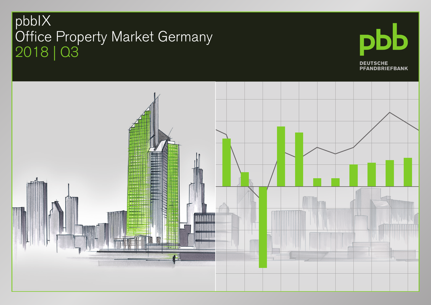## pbbIX Office Property Market Germany 2018 | Q3



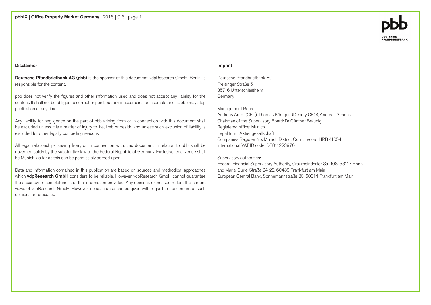#### Disclaimer

Deutsche Pfandbriefbank AG (pbb) is the sponsor of this document. vdpResearch GmbH, Berlin, is responsible for the content.

pbb does not verify the figures and other information used and does not accept any liability for the content. It shall not be obliged to correct or point out any inaccuracies or incompleteness. pbb may stop publication at any time.

Any liability for negligence on the part of pbb arising from or in connection with this document shall be excluded unless it is a matter of injury to life, limb or health, and unless such exclusion of liability is excluded for other legally compelling reasons.

All legal relationships arising from, or in connection with, this document in relation to pbb shall be governed solely by the substantive law of the Federal Republic of Germany. Exclusive legal venue shall be Munich, as far as this can be permissibly agreed upon.

Data and information contained in this publication are based on sources and methodical approaches which vdpResearch GmbH considers to be reliable. However, vdpResearch GmbH cannot guarantee the accuracy or completeness of the information provided. Any opinions expressed reflect the current views of vdpResearch GmbH. However, no assurance can be given with regard to the content of such opinions or forecasts.

#### Imprint

Deutsche Pfandbriefbank AG Freisinger Straße 5 85716 Unterschleißheim Germany

#### Management Board:

Andreas Arndt (CEO), Thomas Köntgen (Deputy CEO), Andreas Schenk Chairman of the Supervisory Board: Dr Günther Bräunig Registered office: Munich Legal form: Aktiengesellschaft Companies Register No: Munich District Court, record HRB 41054 International VAT ID code: DE811223976

#### Supervisory authorities:

Federal Financial Supervisory Authority, Graurheindorfer Str. 108, 53117 Bonn and Marie-Curie-Straße 24-28, 60439 Frankfurt am Main European Central Bank, Sonnemannstraße 20, 60314 Frankfurt am Main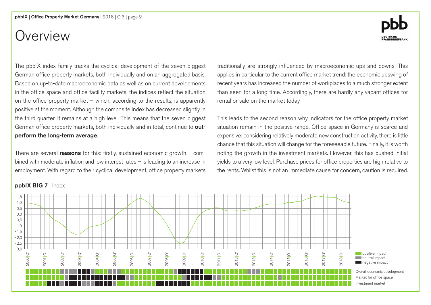## Overview

The pbbIX index family tracks the cyclical development of the seven biggest German office property markets, both individually and on an aggregated basis. Based on up-to-date macroeconomic data as well as on current developments in the office space and office facility markets, the indices reflect the situation on the office property market – which, according to the results, is apparently positive at the moment. Although the composite index has decreased slightly in the third quarter, it remains at a high level. This means that the seven biggest German office property markets, both individually and in total, continue to outperform the long-term average.

There are several **reasons** for this: firstly, sustained economic growth – combined with moderate inflation and low interest rates – is leading to an increase in employment. With regard to their cyclical development, office property markets traditionally are strongly influenced by macroeconomic ups and downs. This applies in particular to the current office market trend: the economic upswing of recent years has increased the number of workplaces to a much stronger extent than seen for a long time. Accordingly, there are hardly any vacant offices for rental or sale on the market today.

This leads to the second reason why indicators for the office property market situation remain in the positive range. Office space in Germany is scarce and expensive; considering relatively moderate new construction activity, there is little chance that this situation will change for the foreseeable future. Finally, it is worth noting the growth in the investment markets. However, this has pushed initial yields to a very low level. Purchase prices for office properties are high relative to the rents. Whilst this is not an immediate cause for concern, caution is required.

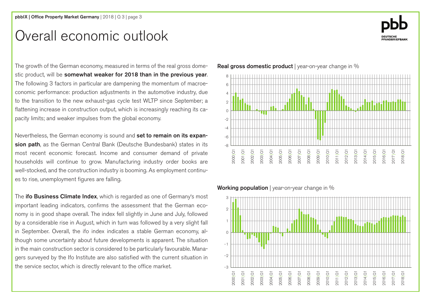### Overall economic outlook



The growth of the German economy, measured in terms of the real gross domestic product, will be somewhat weaker for 2018 than in the previous year. The following 3 factors in particular are dampening the momentum of macroeconomic performance: production adjustments in the automotive industry, due to the transition to the new exhaust-gas cycle test WLTP since September; a flattening increase in construction output, which is increasingly reaching its capacity limits; and weaker impulses from the global economy.

Nevertheless, the German economy is sound and set to remain on its expansion path, as the German Central Bank (Deutsche Bundesbank) states in its most recent economic forecast. Income and consumer demand of private households will continue to grow. Manufacturing industry order books are well-stocked, and the construction industry is booming. As employment continues to rise, unemployment figures are falling.

The ifo Business Climate Index, which is regarded as one of Germany's most important leading indicators, confirms the assessment that the German economy is in good shape overall. The index fell slightly in June and July, followed by a considerable rise in August, which in turn was followed by a very slight fall in September. Overall, the ifo index indicates a stable German economy, although some uncertainty about future developments is apparent. The situation in the main construction sector is considered to be particularly favourable. Managers surveyed by the Ifo Institute are also satisfied with the current situation in the service sector, which is directly relevant to the office market.

-8 -6 4 2  $\Omega$  $-2$  $-4$ 8 6 2013|Q1 2014|Q1 2015|Q1 2016|Q1 2017|Q1 2018|Q1 2012|Q1 2011|Q1 2010|Q1 2009|Q1 2008|Q1 2007|Q1 2006|Q1 2005|Q1 2004|Q1 2003|Q1 2002|Q1 2001|Q1 2000|Q1

Working population | year-on-year change in %

Real gross domestic product | year-on-year change in %

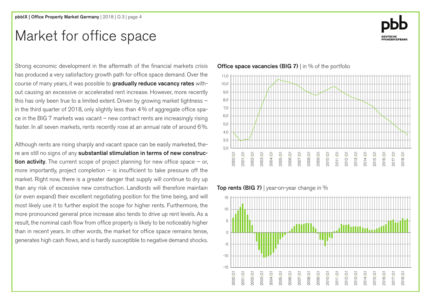### Market for office space

Strong economic development in the aftermath of the financial markets crisis has produced a very satisfactory growth path for office space demand. Over the course of many years, it was possible to gradually reduce vacancy rates without causing an excessive or accelerated rent increase. However, more recently this has only been true to a limited extent. Driven by growing market tightness – in the third quarter of 2018, only slightly less than 4% of aggregate office space in the BIG 7 markets was vacant – new contract rents are increasingly rising faster. In all seven markets, rents recently rose at an annual rate of around 6%.

Although rents are rising sharply and vacant space can be easily marketed, there are still no signs of any substantial stimulation in terms of new construction activity. The current scope of project planning for new office space  $-$  or, more importantly, project completion  $-$  is insufficient to take pressure off the market. Right now, there is a greater danger that supply will continue to dry up than any risk of excessive new construction. Landlords will therefore maintain (or even expand) their excellent negotiating position for the time being, and will most likely use it to further exploit the scope for higher rents. Furthermore, the more pronounced general price increase also tends to drive up rent levels. As a result, the nominal cash flow from office property is likely to be noticeably higher than in recent years. In other words, the market for office space remains tense, generates high cash flows, and is hardly susceptible to negative demand shocks.

#### 2,0 3,0 8,0 7,0 6,0 5,0 4,0 10,0 9,0  $11<sub>0</sub>$ 2013|Q1 2014|Q1 2015|Q1 2016|Q1 2017|Q1 2018|Q1 2012|Q1 2011|Q1 2010|Q1 2009|Q1 2008|Q1 2007|Q1 2006|Q1 2005|Q1 2004|Q1 2003|Q1 2002|Q1 2001|Q1 2000|Q1

Top rents (BIG 7) | year-on-year change in  $%$ 





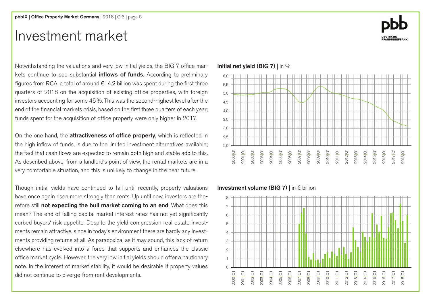### Investment market



Notwithstanding the valuations and very low initial yields, the BIG 7 office markets continue to see substantial *inflows of funds*. According to preliminary figures from RCA, a total of around  $\epsilon$ 14.2 billion was spent during the first three quarters of 2018 on the acquisition of existing office properties, with foreign investors accounting for some 45%. This was the second-highest level after the end of the financial markets crisis, based on the first three quarters of each year; funds spent for the acquisition of office property were only higher in 2017.

On the one hand, the **attractiveness of office property**, which is reflected in the high inflow of funds, is due to the limited investment alternatives available; the fact that cash flows are expected to remain both high and stable add to this. As described above, from a landlord's point of view, the rental markets are in a very comfortable situation, and this is unlikely to change in the near future.

Though initial yields have continued to fall until recently, property valuations have once again risen more strongly than rents. Up until now, investors are therefore still not expecting the bull market coming to an end. What does this mean? The end of falling capital market interest rates has not yet significantly curbed buyers' risk appetite. Despite the yield compression real estate investments remain attractive, since in today's environment there are hardly any investments providing returns at all. As paradoxical as it may sound, this lack of return elsewhere has evolved into a force that supports and enhances the classic office market cycle. However, the very low initial yields should offer a cautionary note. In the interest of market stability, it would be desirable if property values did not continue to diverge from rent developments.



#### Initial net yield (BIG 7) | in %

#### Investment volume (BIG 7) | in € billion

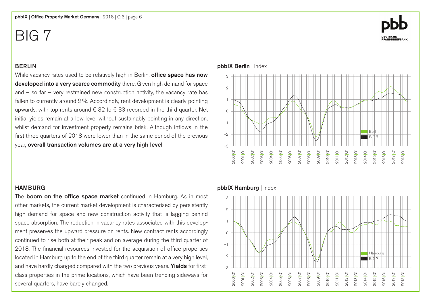#### BERLIN

While vacancy rates used to be relatively high in Berlin, **office space has now** developed into a very scarce commodity there. Given high demand for space and  $-$  so far  $-$  very restrained new construction activity, the vacancy rate has fallen to currently around 2%. Accordingly, rent development is clearly pointing upwards, with top rents around  $\epsilon$  32 to  $\epsilon$  33 recorded in the third quarter. Net initial yields remain at a low level without sustainably pointing in any direction, whilst demand for investment property remains brisk. Although inflows in the first three quarters of 2018 were lower than in the same period of the previous year, overall transaction volumes are at a very high level.

#### HAMBURG

The **boom on the office space market** continued in Hamburg. As in most other markets, the current market development is characterised by persistently high demand for space and new construction activity that is lagging behind space absorption. The reduction in vacancy rates associated with this development preserves the upward pressure on rents. New contract rents accordingly continued to rise both at their peak and on average during the third quarter of 2018. The financial resources invested for the acquisition of office properties located in Hamburg up to the end of the third quarter remain at a very high level, and have hardly changed compared with the two previous years. Yields for firstclass properties in the prime locations, which have been trending sideways for several quarters, have barely changed.

#### pbbIX Berlin | Index



#### pbbIX Hamburg | Index



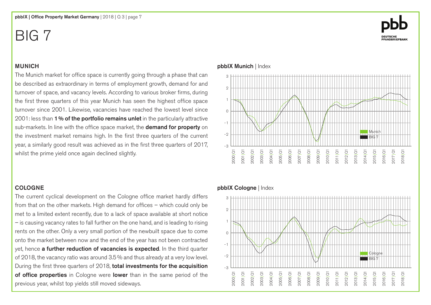#### **MUNICH**

The Munich market for office space is currently going through a phase that can be described as extraordinary in terms of employment growth, demand for and turnover of space, and vacancy levels. According to various broker firms, during the first three quarters of this year Munich has seen the highest office space turnover since 2001. Likewise, vacancies have reached the lowest level since 2001: less than 1% of the portfolio remains unlet in the particularly attractive sub-markets. In line with the office space market, the **demand for property** on the investment market remains high. In the first three quarters of the current year, a similarly good result was achieved as in the first three quarters of 2017, whilst the prime yield once again declined slightly.

#### COLOGNE

The current cyclical development on the Cologne office market hardly differs from that on the other markets. High demand for offices – which could only be met to a limited extent recently, due to a lack of space available at short notice – is causing vacancy rates to fall further on the one hand, and is leading to rising rents on the other. Only a very small portion of the newbuilt space due to come onto the market between now and the end of the year has not been contracted yet, hence a further reduction of vacancies is expected. In the third quarter of 2018, the vacancy ratio was around 3.5% and thus already at a very low level. During the first three quarters of 2018, total investments for the acquisition of office properties in Cologne were lower than in the same period of the previous year, whilst top yields still moved sideways.

#### pbbIX Munich | Index



#### pbbIX Cologne | Index



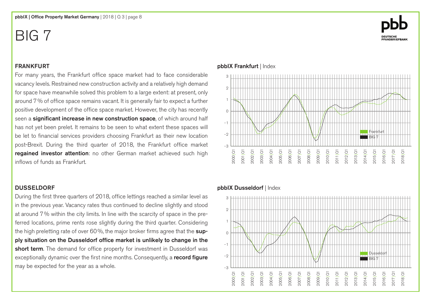# **DEUTSCHE<br>PFANDBRIEFBANK**

#### **FRANKFURT**

For many years, the Frankfurt office space market had to face considerable vacancy levels. Restrained new construction activity and a relatively high demand for space have meanwhile solved this problem to a large extent: at present, only around 7% of office space remains vacant. It is generally fair to expect a further positive development of the office space market. However, the city has recently seen a significant increase in new construction space, of which around half has not yet been prelet. It remains to be seen to what extent these spaces will be let to financial services providers choosing Frankfurt as their new location post-Brexit. During the third quarter of 2018, the Frankfurt office market regained investor attention: no other German market achieved such high inflows of funds as Frankfurt.

#### DUsseldorf

During the first three quarters of 2018, office lettings reached a similar level as in the previous year. Vacancy rates thus continued to decline slightly and stood at around 7% within the city limits. In line with the scarcity of space in the preferred locations, prime rents rose slightly during the third quarter. Considering the high preletting rate of over 60%, the major broker firms agree that the supply situation on the Dusseldorf office market is unlikely to change in the short term. The demand for office property for investment in Dusseldorf was exceptionally dynamic over the first nine months. Consequently, a record figure may be expected for the year as a whole.



#### pbbIX Frankfurt | Index

#### pbbIX Dusseldorf | Index

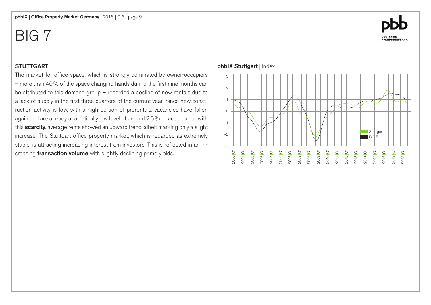# **DEUTSCHE<br>PFANDBRIEFBANK**

#### **STUTTGART**

The market for office space, which is strongly dominated by owner-occupiers – more than 40% of the space changing hands during the first nine months can be attributed to this demand group – recorded a decline of new rentals due to a lack of supply in the first three quarters of the current year. Since new construction activity is low, with a high portion of prerentals, vacancies have fallen again and are already at a critically low level of around 2.5%. In accordance with this **scarcity**, average rents showed an upward trend, albeit marking only a slight increase. The Stuttgart office property market, which is regarded as extremely stable, is attracting increasing interest from investors. This is reflected in an increasing **transaction volume** with slightly declining prime yields.

#### pbbIX Stuttgart | Index